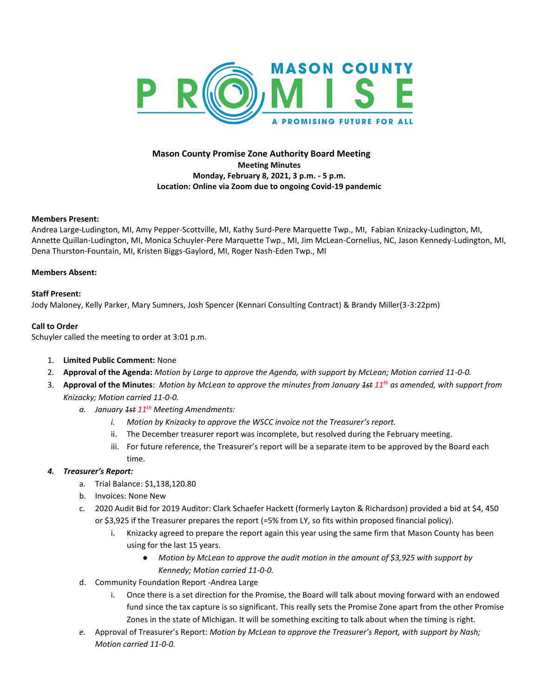

# **Mason County Promise Zone Authority Board Meeting Meeting Minutes Monday, February 8, 2021, 3 p.m. - 5 p.m. Location: Online via Zoom due to ongoing Covid-19 pandemic**

### **Members Present:**

Andrea Large-Ludington, MI, Amy Pepper-Scottville, MI, Kathy Surd-Pere Marquette Twp., MI, Fabian Knizacky-Ludington, MI, Annette Quillan-Ludington, MI, Monica Schuyler-Pere Marquette Twp., MI, Jim McLean-Cornelius, NC, Jason Kennedy-Ludington, MI, Dena Thurston-Fountain, MI, Kristen Biggs-Gaylord, MI, Roger Nash-Eden Twp., MI

#### **Members Absent:**

### **Staff Present:**

Jody Maloney, Kelly Parker, Mary Sumners, Josh Spencer (Kennari Consulting Contract) & Brandy Miller(3-3:22pm)

### **Call to Order**

Schuyler called the meeting to order at 3:01 p.m.

- 1. **Limited Public Comment:** None
- 2. **Approval of the Agenda:** *Motion by Large to approve the Agenda, with support by McLean; Motion carried 11-0-0.*
- 3. **Approval of the Minutes**: *Motion by McLean to approve the minutes from January 1st 11th as amended, with support from Knizacky; Motion carried 11-0-0.*
	- *a. January 1st 11th Meeting Amendments:*
		- *i. Motion by Knizacky to approve the WSCC invoice not the Treasurer's report.*
		- ii. The December treasurer report was incomplete, but resolved during the February meeting.
		- iii. For future reference, the Treasurer's report will be a separate item to be approved by the Board each time.

### *4. Treasurer's Report:*

- a. Trial Balance: \$1,138,120.80
- b. Invoices: None New
- c. 2020 Audit Bid for 2019 Auditor: Clark Schaefer Hackett (formerly Layton & Richardson) provided a bid at \$4, 450 or \$3,925 if the Treasurer prepares the report (=5% from LY, so fits within proposed financial policy).
	- i. Knizacky agreed to prepare the report again this year using the same firm that Mason County has been using for the last 15 years.
		- *Motion by McLean to approve the audit motion in the amount of \$3,925 with support by Kennedy; Motion carried 11-0-0.*
- d. Community Foundation Report -Andrea Large
	- i. Once there is a set direction for the Promise, the Board will talk about moving forward with an endowed fund since the tax capture is so significant. This really sets the Promise Zone apart from the other Promise Zones in the state of MIchigan. It will be something exciting to talk about when the timing is right.
- *e.* Approval of Treasurer's Report: *Motion by McLean to approve the Treasurer's Report, with support by Nash; Motion carried 11-0-0.*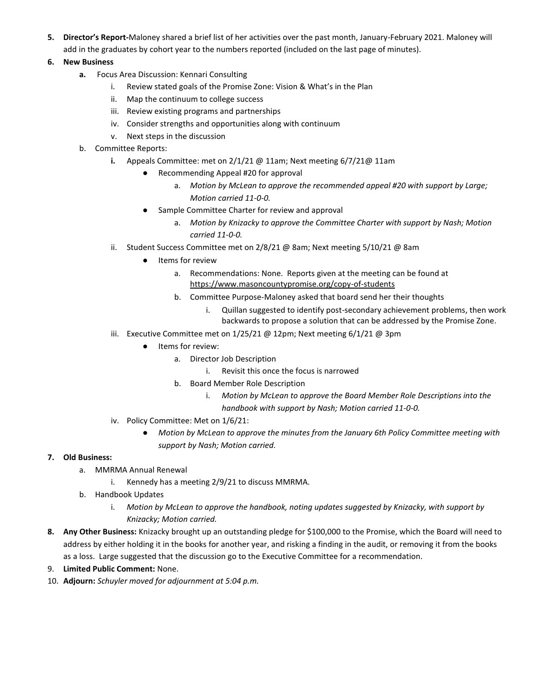- **5. Director's Report-**Maloney shared a brief list of her activities over the past month, January-February 2021. Maloney will add in the graduates by cohort year to the numbers reported (included on the last page of minutes).
- **6. New Business**
	- **a.** Focus Area Discussion: Kennari Consulting
		- i. Review stated goals of the Promise Zone: Vision & What's in the Plan
		- ii. Map the continuum to college success
		- iii. Review existing programs and partnerships
		- iv. Consider strengths and opportunities along with continuum
		- v. Next steps in the discussion
	- b. Committee Reports:
		- **i.** Appeals Committee: met on 2/1/21 @ 11am; Next meeting 6/7/21@ 11am
			- Recommending Appeal #20 for approval
				- a. *Motion by McLean to approve the recommended appeal #20 with support by Large; Motion carried 11-0-0.*
				- Sample Committee Charter for review and approval
					- a. *Motion by Knizacky to approve the Committee Charter with support by Nash; Motion carried 11-0-0.*
		- ii. Student Success Committee met on 2/8/21 @ 8am; Next meeting 5/10/21 @ 8am
			- Items for review
				- a. Recommendations: None. Reports given at the meeting can be found at <https://www.masoncountypromise.org/copy-of-students>
				- b. Committee Purpose-Maloney asked that board send her their thoughts
					- i. Quillan suggested to identify post-secondary achievement problems, then work backwards to propose a solution that can be addressed by the Promise Zone.
		- iii. Executive Committee met on 1/25/21 @ 12pm; Next meeting 6/1/21 @ 3pm
			- Items for review:
				- a. Director Job Description
					- i. Revisit this once the focus is narrowed
				- b. Board Member Role Description
					- i. *Motion by McLean to approve the Board Member Role Descriptions into the handbook with support by Nash; Motion carried 11-0-0.*
		- iv. Policy Committee: Met on 1/6/21:
			- *Motion by McLean to approve the minutes from the January 6th Policy Committee meeting with support by Nash; Motion carried.*

# **7. Old Business:**

- a. MMRMA Annual Renewal
	- i. Kennedy has a meeting 2/9/21 to discuss MMRMA.
- b. Handbook Updates
	- i. *Motion by McLean to approve the handbook, noting updates suggested by Knizacky, with support by Knizacky; Motion carried.*
- **8. Any Other Business:** Knizacky brought up an outstanding pledge for \$100,000 to the Promise, which the Board will need to address by either holding it in the books for another year, and risking a finding in the audit, or removing it from the books as a loss. Large suggested that the discussion go to the Executive Committee for a recommendation.
- 9. **Limited Public Comment:** None.
- 10. **Adjourn:** *Schuyler moved for adjournment at 5:04 p.m.*